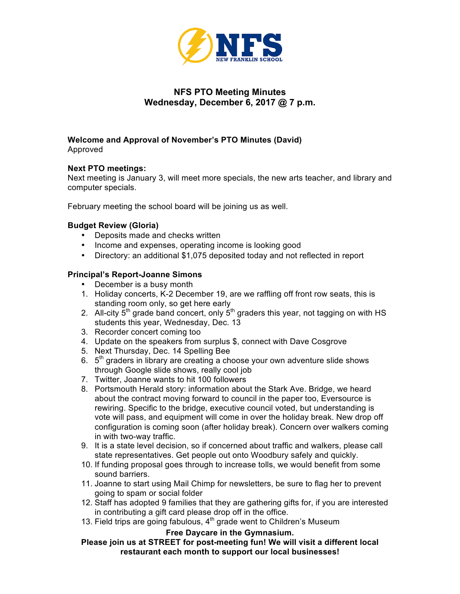

# **NFS PTO Meeting Minutes Wednesday, December 6, 2017 @ 7 p.m.**

### **Welcome and Approval of November's PTO Minutes (David)** Approved

### **Next PTO meetings:**

Next meeting is January 3, will meet more specials, the new arts teacher, and library and computer specials.

February meeting the school board will be joining us as well.

### **Budget Review (Gloria)**

- Deposits made and checks written
- Income and expenses, operating income is looking good
- Directory: an additional \$1,075 deposited today and not reflected in report

## **Principal's Report-Joanne Simons**

- December is a busy month
- 1. Holiday concerts, K-2 December 19, are we raffling off front row seats, this is standing room only, so get here early
- 2. All-city  $5<sup>th</sup>$  grade band concert, only  $5<sup>th</sup>$  graders this year, not tagging on with HS students this year, Wednesday, Dec. 13
- 3. Recorder concert coming too
- 4. Update on the speakers from surplus \$, connect with Dave Cosgrove
- 5. Next Thursday, Dec. 14 Spelling Bee
- 6.  $5<sup>th</sup>$  graders in library are creating a choose your own adventure slide shows through Google slide shows, really cool job
- 7. Twitter, Joanne wants to hit 100 followers
- 8. Portsmouth Herald story: information about the Stark Ave. Bridge, we heard about the contract moving forward to council in the paper too, Eversource is rewiring. Specific to the bridge, executive council voted, but understanding is vote will pass, and equipment will come in over the holiday break. New drop off configuration is coming soon (after holiday break). Concern over walkers coming in with two-way traffic.
- 9. It is a state level decision, so if concerned about traffic and walkers, please call state representatives. Get people out onto Woodbury safely and quickly.
- 10. If funding proposal goes through to increase tolls, we would benefit from some sound barriers.
- 11. Joanne to start using Mail Chimp for newsletters, be sure to flag her to prevent going to spam or social folder
- 12. Staff has adopted 9 families that they are gathering gifts for, if you are interested in contributing a gift card please drop off in the office.
- 13. Field trips are going fabulous,  $4<sup>th</sup>$  grade went to Children's Museum

#### **Free Daycare in the Gymnasium.**

**Please join us at STREET for post-meeting fun! We will visit a different local restaurant each month to support our local businesses!**